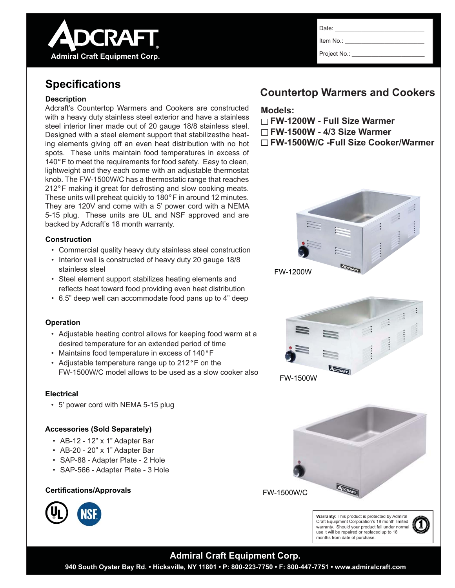

Item No.:

Project No.:

## **Specifi cations**

**Admiral Craft Equipment Corp.**

**ADCRAFT** 

#### **Description**

Adcraft's Countertop Warmers and Cookers are constructed with a heavy duty stainless steel exterior and have a stainless steel interior liner made out of 20 gauge 18/8 stainless steel. Designed with a steel element support that stabilizesthe heating elements giving off an even heat distribution with no hot spots. These units maintain food temperatures in excess of 140°F to meet the requirements for food safety. Easy to clean, lightweight and they each come with an adjustable thermostat knob. The FW-1500W/C has a thermostatic range that reaches 212°F making it great for defrosting and slow cooking meats. These units will preheat quickly to 180°F in around 12 minutes. They are 120V and come with a 5' power cord with a NEMA 5-15 plug. These units are UL and NSF approved and are backed by Adcraft's 18 month warranty.

### **Construction**

- Commercial quality heavy duty stainless steel construction
- Interior well is constructed of heavy duty 20 gauge 18/8 stainless steel
- Steel element support stabilizes heating elements and reflects heat toward food providing even heat distribution
- 6.5" deep well can accommodate food pans up to 4" deep

### **Operation**

- Adjustable heating control allows for keeping food warm at a desired temperature for an extended period of time
- Maintains food temperature in excess of 140°F
- Adjustable temperature range up to 212°F on the FW-1500W/C model allows to be used as a slow cooker also

### **Electrical**

• 5' power cord with NEMA 5-15 plug

### **Accessories (Sold Separately)**

- AB-12 12" x 1" Adapter Bar
- AB-20 20" x 1" Adapter Bar
- SAP-88 Adapter Plate 2 Hole
- SAP-566 Adapter Plate 3 Hole

### **Certifi cations/Approvals**



## **Countertop Warmers and Cookers**

### **Models:**

**FW-1200W - Full Size Warmer FW-1500W - 4/3 Size Warmer FW-1500W/C -Full Size Cooker/Warmer**



FW-1500W







### **Admiral Craft Equipment Corp.**

**940 South Oyster Bay Rd. • Hicksville, NY 11801 • P: 800-223-7750 • F: 800-447-7751 • www.admiralcraft.com**